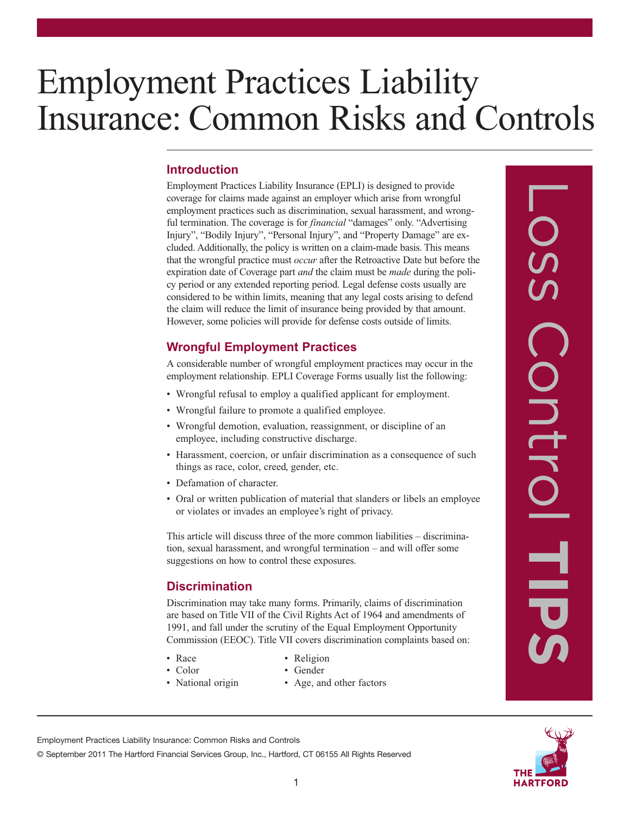# Employment Practices Liability Insurance: Common Risks and Controls

## **Introduction**

Employment Practices Liability Insurance (EPLI) is designed to provide coverage for claims made against an employer which arise from wrongful employment practices such as discrimination, sexual harassment, and wrongful termination. The coverage is for *financial* "damages" only. "Advertising Injury", "Bodily Injury", "Personal Injury", and "Property Damage" are excluded. Additionally, the policy is written on a claim-made basis. This means that the wrongful practice must *occur* after the Retroactive Date but before the expiration date of Coverage part *and* the claim must be *made* during the policy period or any extended reporting period. Legal defense costs usually are considered to be within limits, meaning that any legal costs arising to defend the claim will reduce the limit of insurance being provided by that amount. However, some policies will provide for defense costs outside of limits.

# **Wrongful Employment Practices**

A considerable number of wrongful employment practices may occur in the employment relationship. EPLI Coverage Forms usually list the following:

- Wrongful refusal to employ a qualified applicant for employment.
- Wrongful failure to promote a qualified employee.
- Wrongful demotion, evaluation, reassignment, or discipline of an employee, including constructive discharge.
- Harassment, coercion, or unfair discrimination as a consequence of such things as race, color, creed, gender, etc.
- Defamation of character.
- Oral or written publication of material that slanders or libels an employee or violates or invades an employee's right of privacy.

This article will discuss three of the more common liabilities – discrimination, sexual harassment, and wrongful termination – and will offer some suggestions on how to control these exposures.

# **Discrimination**

Discrimination may take many forms. Primarily, claims of discrimination are based on Title VII of the Civil Rights Act of 1964 and amendments of 1991, and fall under the scrutiny of the Equal Employment Opportunity Commission (EEOC). Title VII covers discrimination complaints based on:

- 
- Race Religion
- 
- Color Gender
- 
- National origin Age, and other factors





Employment Practices Liability Insurance: Common Risks and Controls

© September 2011 The Hartford Financial Services Group, Inc., Hartford, CT 06155 All Rights Reserved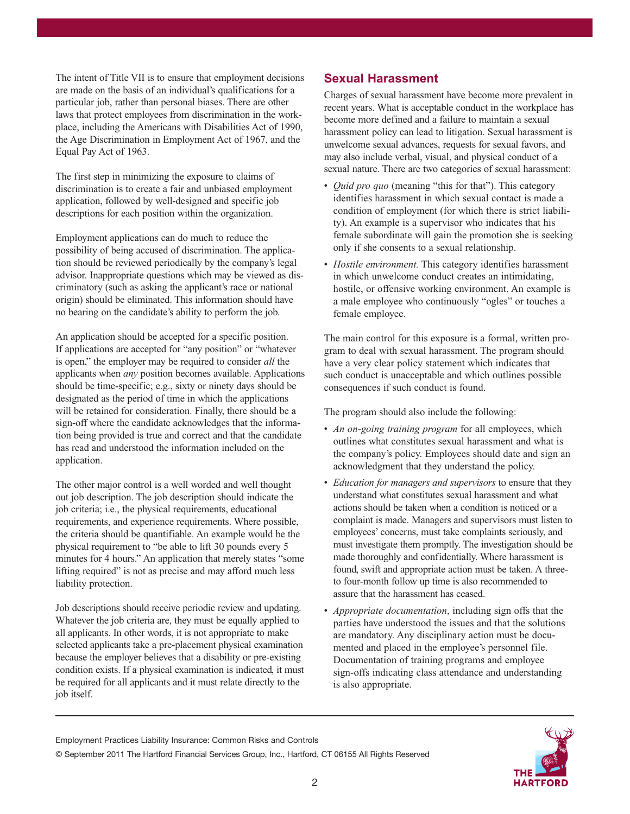The intent of Title VII is to ensure that employment decisions are made on the basis of an individual's qualifications for a particular job, rather than personal biases. There are other laws that protect employees from discrimination in the workplace, including the Americans with Disabilities Act of 1990, the Age Discrimination in Employment Act of 1967, and the Equal Pay Act of 1963.

The first step in minimizing the exposure to claims of discrimination is to create a fair and unbiased employment application, followed by well-designed and specific job descriptions for each position within the organization.

Employment applications can do much to reduce the possibility of being accused of discrimination. The application should be reviewed periodically by the company's legal advisor. Inappropriate questions which may be viewed as discriminatory (such as asking the applicant's race or national origin) should be eliminated. This information should have no bearing on the candidate's ability to perform the job.

An application should be accepted for a specific position. If applications are accepted for "any position" or "whatever is open," the employer may be required to consider *all* the applicants when *any* position becomes available. Applications should be time-specific; e.g., sixty or ninety days should be designated as the period of time in which the applications will be retained for consideration. Finally, there should be a sign-off where the candidate acknowledges that the information being provided is true and correct and that the candidate has read and understood the information included on the application.

The other major control is a well worded and well thought out job description. The job description should indicate the job criteria; i.e., the physical requirements, educational requirements, and experience requirements. Where possible, the criteria should be quantifiable. An example would be the physical requirement to "be able to lift 30 pounds every 5 minutes for 4 hours." An application that merely states "some lifting required" is not as precise and may afford much less liability protection.

Job descriptions should receive periodic review and updating. Whatever the job criteria are, they must be equally applied to all applicants. In other words, it is not appropriate to make selected applicants take a pre-placement physical examination because the employer believes that a disability or pre-existing condition exists. If a physical examination is indicated, it must be required for all applicants and it must relate directly to the job itself.

#### **Sexual Harassment**

Charges of sexual harassment have become more prevalent in recent years. What is acceptable conduct in the workplace has become more defined and a failure to maintain a sexual harassment policy can lead to litigation. Sexual harassment is unwelcome sexual advances, requests for sexual favors, and may also include verbal, visual, and physical conduct of a sexual nature. There are two categories of sexual harassment:

- *Quid pro quo* (meaning "this for that"). This category identifies harassment in which sexual contact is made a condition of employment (for which there is strict liability). An example is a supervisor who indicates that his female subordinate will gain the promotion she is seeking only if she consents to a sexual relationship.
- *Hostile environment.* This category identifies harassment in which unwelcome conduct creates an intimidating, hostile, or offensive working environment. An example is a male employee who continuously "ogles" or touches a female employee.

The main control for this exposure is a formal, written program to deal with sexual harassment. The program should have a very clear policy statement which indicates that such conduct is unacceptable and which outlines possible consequences if such conduct is found.

The program should also include the following:

- *An on-going training program* for all employees, which outlines what constitutes sexual harassment and what is the company's policy. Employees should date and sign an acknowledgment that they understand the policy.
- *Education for managers and supervisors* to ensure that they understand what constitutes sexual harassment and what actions should be taken when a condition is noticed or a complaint is made. Managers and supervisors must listen to employees' concerns, must take complaints seriously, and must investigate them promptly. The investigation should be made thoroughly and confidentially. Where harassment is found, swift and appropriate action must be taken. A threeto four-month follow up time is also recommended to assure that the harassment has ceased.
- *Appropriate documentation*, including sign offs that the parties have understood the issues and that the solutions are mandatory. Any disciplinary action must be documented and placed in the employee's personnel file. Documentation of training programs and employee sign-offs indicating class attendance and understanding is also appropriate.

Employment Practices Liability Insurance: Common Risks and Controls

© September 2011 The Hartford Financial Services Group, Inc., Hartford, CT 06155 All Rights Reserved